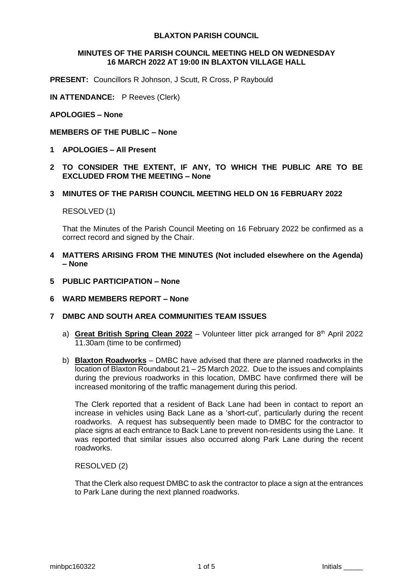# **BLAXTON PARISH COUNCIL**

#### **MINUTES OF THE PARISH COUNCIL MEETING HELD ON WEDNESDAY 16 MARCH 2022 AT 19:00 IN BLAXTON VILLAGE HALL**

**PRESENT:** Councillors R Johnson, J Scutt, R Cross, P Raybould

**IN ATTENDANCE:** P Reeves (Clerk)

### **APOLOGIES – None**

#### **MEMBERS OF THE PUBLIC – None**

- **1 APOLOGIES – All Present**
- **2 TO CONSIDER THE EXTENT, IF ANY, TO WHICH THE PUBLIC ARE TO BE EXCLUDED FROM THE MEETING – None**
- **3 MINUTES OF THE PARISH COUNCIL MEETING HELD ON 16 FEBRUARY 2022**

RESOLVED (1)

That the Minutes of the Parish Council Meeting on 16 February 2022 be confirmed as a correct record and signed by the Chair.

- **4 MATTERS ARISING FROM THE MINUTES (Not included elsewhere on the Agenda) – None**
- **5 PUBLIC PARTICIPATION – None**
- **6 WARD MEMBERS REPORT – None**
- **7 DMBC AND SOUTH AREA COMMUNITIES TEAM ISSUES**
	- a) Great British Spring Clean 2022 Volunteer litter pick arranged for 8<sup>th</sup> April 2022 11.30am (time to be confirmed)
	- b) **Blaxton Roadworks** DMBC have advised that there are planned roadworks in the location of Blaxton Roundabout 21 – 25 March 2022. Due to the issues and complaints during the previous roadworks in this location, DMBC have confirmed there will be increased monitoring of the traffic management during this period.

The Clerk reported that a resident of Back Lane had been in contact to report an increase in vehicles using Back Lane as a 'short-cut', particularly during the recent roadworks. A request has subsequently been made to DMBC for the contractor to place signs at each entrance to Back Lane to prevent non-residents using the Lane. It was reported that similar issues also occurred along Park Lane during the recent roadworks.

RESOLVED (2)

That the Clerk also request DMBC to ask the contractor to place a sign at the entrances to Park Lane during the next planned roadworks.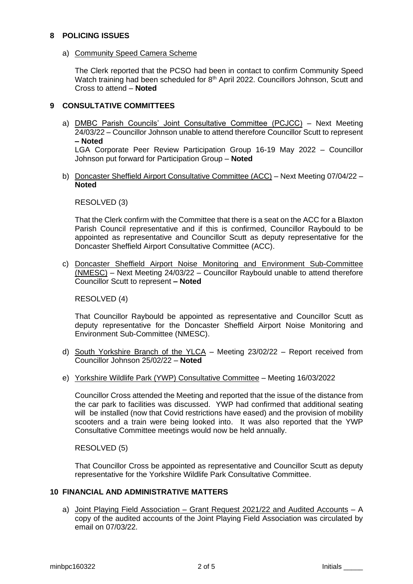# **8 POLICING ISSUES**

a) Community Speed Camera Scheme

The Clerk reported that the PCSO had been in contact to confirm Community Speed Watch training had been scheduled for 8<sup>th</sup> April 2022. Councillors Johnson, Scutt and Cross to attend – **Noted**

# **9 CONSULTATIVE COMMITTEES**

a) DMBC Parish Councils' Joint Consultative Committee (PCJCC) – Next Meeting 24/03/22 – Councillor Johnson unable to attend therefore Councillor Scutt to represent **– Noted**

LGA Corporate Peer Review Participation Group 16-19 May 2022 – Councillor Johnson put forward for Participation Group – **Noted**

b) Doncaster Sheffield Airport Consultative Committee (ACC) – Next Meeting 07/04/22 – **Noted**

RESOLVED (3)

That the Clerk confirm with the Committee that there is a seat on the ACC for a Blaxton Parish Council representative and if this is confirmed, Councillor Raybould to be appointed as representative and Councillor Scutt as deputy representative for the Doncaster Sheffield Airport Consultative Committee (ACC).

c) Doncaster Sheffield Airport Noise Monitoring and Environment Sub-Committee (NMESC) – Next Meeting 24/03/22 – Councillor Raybould unable to attend therefore Councillor Scutt to represent **– Noted**

RESOLVED (4)

That Councillor Raybould be appointed as representative and Councillor Scutt as deputy representative for the Doncaster Sheffield Airport Noise Monitoring and Environment Sub-Committee (NMESC).

- d) South Yorkshire Branch of the YLCA Meeting 23/02/22 Report received from Councillor Johnson 25/02/22 – **Noted**
- e) Yorkshire Wildlife Park (YWP) Consultative Committee Meeting 16/03/2022

Councillor Cross attended the Meeting and reported that the issue of the distance from the car park to facilities was discussed. YWP had confirmed that additional seating will be installed (now that Covid restrictions have eased) and the provision of mobility scooters and a train were being looked into. It was also reported that the YWP Consultative Committee meetings would now be held annually.

RESOLVED (5)

That Councillor Cross be appointed as representative and Councillor Scutt as deputy representative for the Yorkshire Wildlife Park Consultative Committee.

# **10 FINANCIAL AND ADMINISTRATIVE MATTERS**

a) Joint Playing Field Association – Grant Request 2021/22 and Audited Accounts – A copy of the audited accounts of the Joint Playing Field Association was circulated by email on 07/03/22.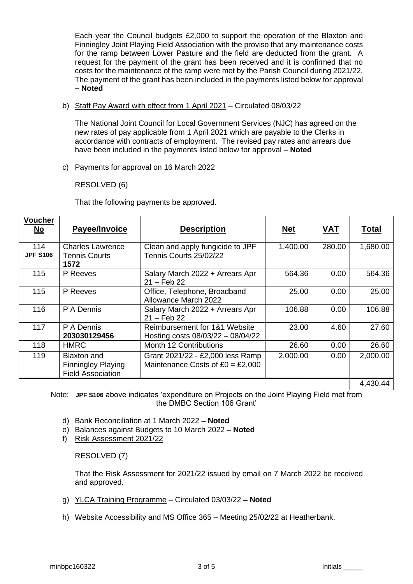Each year the Council budgets £2,000 to support the operation of the Blaxton and Finningley Joint Playing Field Association with the proviso that any maintenance costs for the ramp between Lower Pasture and the field are deducted from the grant. A request for the payment of the grant has been received and it is confirmed that no costs for the maintenance of the ramp were met by the Parish Council during 2021/22. The payment of the grant has been included in the payments listed below for approval – **Noted**

b) Staff Pay Award with effect from 1 April 2021 – Circulated 08/03/22

The National Joint Council for Local Government Services (NJC) has agreed on the new rates of pay applicable from 1 April 2021 which are payable to the Clerks in accordance with contracts of employment. The revised pay rates and arrears due have been included in the payments listed below for approval – **Noted**

c) Payments for approval on 16 March 2022

# RESOLVED (6)

That the following payments be approved.

| Voucher<br>No          | Payee/Invoice                                                        | <b>Description</b>                                                     | <b>Net</b> | <b>VAT</b> | <b>Total</b> |
|------------------------|----------------------------------------------------------------------|------------------------------------------------------------------------|------------|------------|--------------|
| 114<br><b>JPF S106</b> | <b>Charles Lawrence</b><br><b>Tennis Courts</b><br>1572              | Clean and apply fungicide to JPF<br>Tennis Courts 25/02/22             | 1,400.00   | 280.00     | 1,680.00     |
| 115                    | P Reeves                                                             | Salary March 2022 + Arrears Apr<br>$21 - Feb 22$                       | 564.36     | 0.00       | 564.36       |
| 115                    | P Reeves                                                             | Office, Telephone, Broadband<br>Allowance March 2022                   | 25.00      | 0.00       | 25.00        |
| 116                    | P A Dennis                                                           | Salary March 2022 + Arrears Apr<br>$21 - Feb 22$                       | 106.88     | 0.00       | 106.88       |
| 117                    | P A Dennis<br>203030129456                                           | Reimbursement for 1&1 Website<br>Hosting costs 08/03/22 - 08/04/22     | 23.00      | 4.60       | 27.60        |
| 118                    | <b>HMRC</b>                                                          | Month 12 Contributions                                                 | 26.60      | 0.00       | 26.60        |
| 119                    | Blaxton and<br><b>Finningley Playing</b><br><b>Field Association</b> | Grant 2021/22 - £2,000 less Ramp<br>Maintenance Costs of $£0 = £2,000$ | 2,000.00   | 0.00       | 2,000.00     |
|                        |                                                                      |                                                                        |            |            | 4,430.44     |

Note: **JPF S106** above indicates 'expenditure on Projects on the Joint Playing Field met from the DMBC Section 106 Grant'

- d) Bank Reconciliation at 1 March 2022 **– Noted**
- e) Balances against Budgets to 10 March 2022 **– Noted**
- f) Risk Assessment 2021/22

RESOLVED (7)

That the Risk Assessment for 2021/22 issued by email on 7 March 2022 be received and approved.

- g) YLCA Training Programme Circulated 03/03/22 **– Noted**
- h) Website Accessibility and MS Office 365 Meeting 25/02/22 at Heatherbank.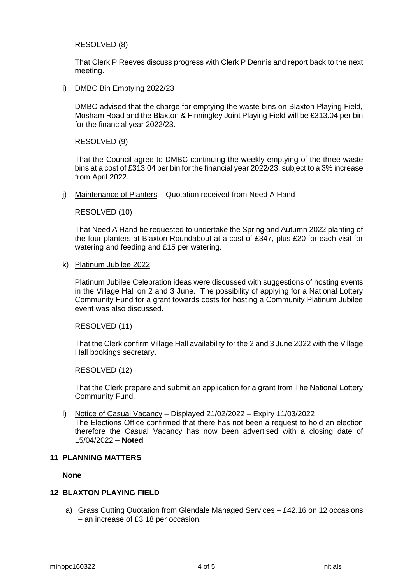### RESOLVED (8)

That Clerk P Reeves discuss progress with Clerk P Dennis and report back to the next meeting.

i) DMBC Bin Emptying 2022/23

DMBC advised that the charge for emptying the waste bins on Blaxton Playing Field, Mosham Road and the Blaxton & Finningley Joint Playing Field will be £313.04 per bin for the financial year 2022/23.

### RESOLVED (9)

That the Council agree to DMBC continuing the weekly emptying of the three waste bins at a cost of £313.04 per bin for the financial year 2022/23, subject to a 3% increase from April 2022.

j) Maintenance of Planters – Quotation received from Need A Hand

### RESOLVED (10)

That Need A Hand be requested to undertake the Spring and Autumn 2022 planting of the four planters at Blaxton Roundabout at a cost of £347, plus £20 for each visit for watering and feeding and £15 per watering.

k) Platinum Jubilee 2022

Platinum Jubilee Celebration ideas were discussed with suggestions of hosting events in the Village Hall on 2 and 3 June. The possibility of applying for a National Lottery Community Fund for a grant towards costs for hosting a Community Platinum Jubilee event was also discussed.

RESOLVED (11)

That the Clerk confirm Village Hall availability for the 2 and 3 June 2022 with the Village Hall bookings secretary.

RESOLVED (12)

That the Clerk prepare and submit an application for a grant from The National Lottery Community Fund.

l) Notice of Casual Vacancy – Displayed 21/02/2022 – Expiry 11/03/2022 The Elections Office confirmed that there has not been a request to hold an election therefore the Casual Vacancy has now been advertised with a closing date of

#### **11 PLANNING MATTERS**

**None**

#### **12 BLAXTON PLAYING FIELD**

15/04/2022 – **Noted**

a) Grass Cutting Quotation from Glendale Managed Services – £42.16 on 12 occasions – an increase of £3.18 per occasion.